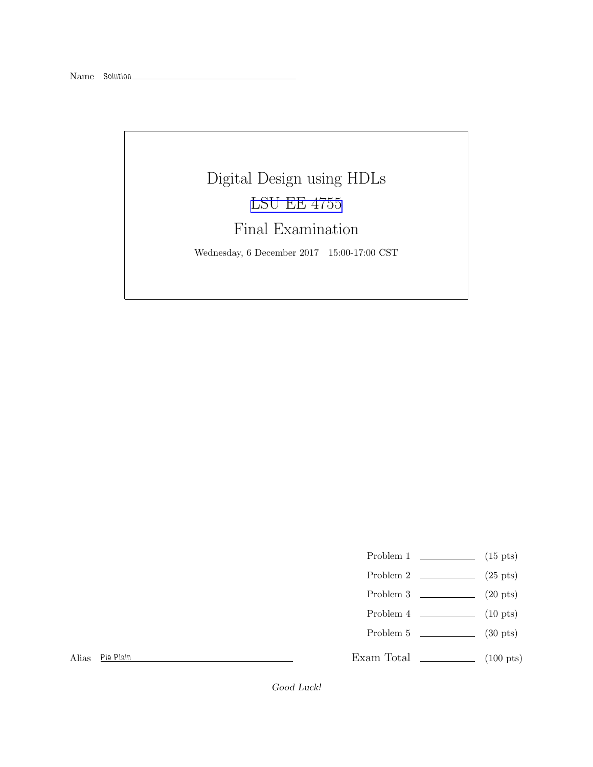## Digital Design using HDLs [LSU EE 4755](https://www.ece.lsu.edu/koppel/v/) Final Examination

Wednesday, 6 December 2017 15:00-17:00 CST

- Problem 1  $\qquad \qquad$  (15 pts)
- Problem 2  $\qquad \qquad$  (25 pts)
- Problem 3 (20 pts)
- Problem 4  $\qquad \qquad$  (10 pts)
- Problem 5 (30 pts)

Alias Pie Plain

Exam Total \_\_\_\_\_\_\_\_\_\_\_\_\_\_ (100 pts)

Good Luck!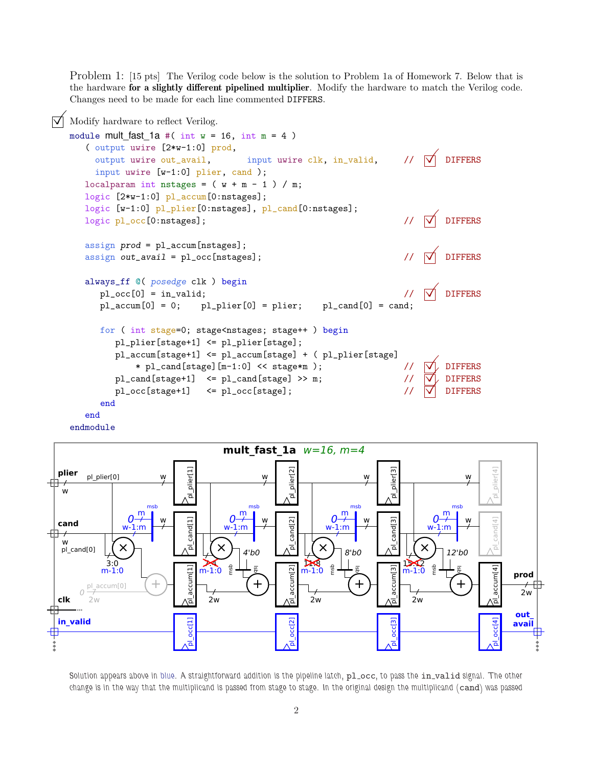Problem 1: [15 pts] The Verilog code below is the solution to Problem 1a of Homework 7. Below that is the hardware for a slightly different pipelined multiplier. Modify the hardware to match the Verilog code. Changes need to be made for each line commented DIFFERS.







Solution appears above in blue. A straightforward addition is the pipeline latch, pl\_occ, to pass the in\_valid signal. The other change is in the way that the multiplicand is passed from stage to stage. In the original design the multiplicand (cand) was passed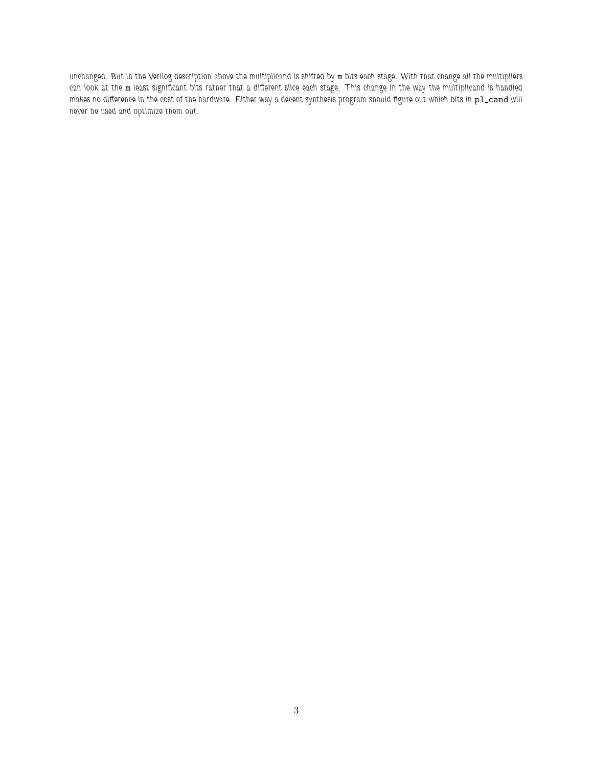unchanged. But in the Verilog description above the multiplicand is shifted by m bits each stage. With that change all the multipliers can look at the m least significant bits rather that a different slice each stage. This change in the way the multiplicand is handled makes no difference in the cost of the hardware. Either way a decent synthesis program should figure out which bits in pl\_cand will never be used and optimize them out.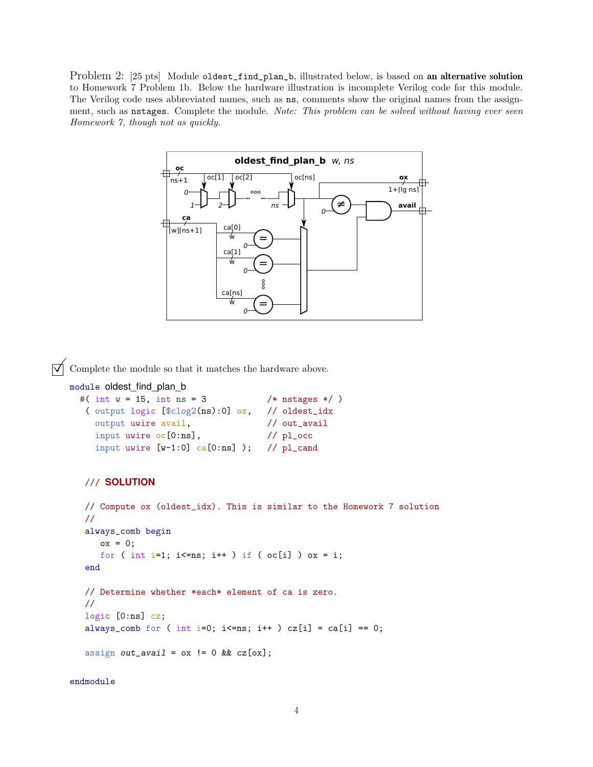Problem 2: [25 pts] Module oldest\_find\_plan\_b, illustrated below, is based on an alternative solution to Homework 7 Problem 1b. Below the hardware illustration is incomplete Verilog code for this module. The Verilog code uses abbreviated names, such as ns, comments show the original names from the assignment, such as nstages. Complete the module. *Note: This problem can be solved without having ever seen Homework 7, though not as quickly.*



 $\triangledown$  Complete the module so that it matches the hardware above.

```
module oldest_find_plan_b
```

```
#( int w = 15, int ns = 3 /* nstages */ )
 ( output logic [$clog2(ns):0] ox, // oldest_idx
  output uwire avail, \frac{1}{100} // out_avail
  input uwire oc[0:ns], // pl\_occinput uwire [w-1:0] ca[0:ns] ); // pl_cand
```
## /// **SOLUTION**

```
// Compute ox (oldest_idx). This is similar to the Homework 7 solution
//
always_comb begin
   \alpha x = 0;for ( int i=1; i <= ns; i + + ) if ( oc[i] ) ox = i;
end
// Determine whether *each* element of ca is zero.
//
logic [0:ns] cz;
always_comb for ( int i=0; i <= ns; i ++ ) cz[i] = ca[i] == 0;assign out_avail = \alpha x := 0 & \alpha z[\alpha x];
```
endmodule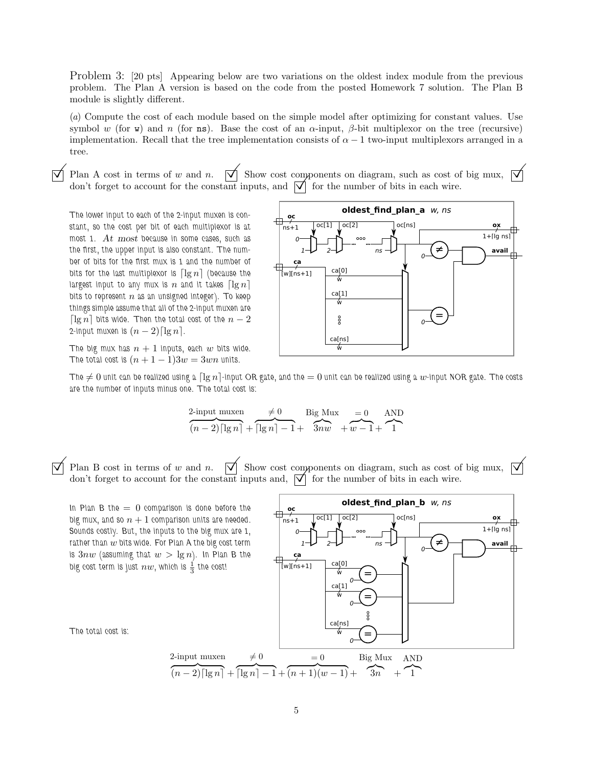Problem 3: [20 pts] Appearing below are two variations on the oldest index module from the previous problem. The Plan A version is based on the code from the posted Homework 7 solution. The Plan B module is slightly different.

(*a*) Compute the cost of each module based on the simple model after optimizing for constant values. Use symbol w (for w) and n (for ns). Base the cost of an  $\alpha$ -input,  $\beta$ -bit multiplexor on the tree (recursive) implementation. Recall that the tree implementation consists of  $\alpha - 1$  two-input multiplexors arranged in a tree.

 $\overrightarrow{\bigvee}$  Plan A cost in terms of w and n.  $\overrightarrow{\bigvee}$  Show cost components on diagram, such as cost of big mux,  $\overrightarrow{\bigvee}$ Plan A cost in terms of w and n.  $\boxed{\checkmark}$  Show cost components on diagram, such as cost of don't forget to account for the constant inputs, and  $\boxed{\checkmark}$  for the number of bits in each wire.

The lower input to each of the 2-input muxen is constant, so the cost per bit of each multiplexor is at most 1. At most because in some cases, such as the first, the upper input is also constant. The number of bits for the first mux is 1 and the number of bits for the last multiplexor is  $\lceil \lg n \rceil$  (because the largest input to any mux is n and it takes  $\lceil \lg n \rceil$ bits to represent  $n$  as an unsigned integer). To keep things simple assume that all of the 2-input muxen are  $\lceil \lg n \rceil$  bits wide. Then the total cost of the  $n-2$ 2-input muxen is  $(n-2)\lceil \lg n \rceil$ .

The big mux has  $n + 1$  inputs, each w bits wide. The total cost is  $(n + 1 - 1)3w = 3wn$  units.



The  $\neq 0$  unit can be realized using a  $\lceil \lg n \rceil$ -input OR gate, and the  $= 0$  unit can be realized using a w-input NOR gate. The costs are the number of inputs minus one. The total cost is:

$$
2\frac{\text{Input muxen}}{(n-2)\lceil \lg n \rceil} + \frac{\neq 0}{\lceil \lg n \rceil - 1} + \frac{\text{Big Mux}}{3nw} + \frac{0}{w-1} + \frac{\text{AND}}{1}
$$

 $\vec{\triangledown}$  Plan B cost in terms of w and n.  $\vec{\triangledown}$  Show cost components on diagram, such as cost of big mux,  $\vec{\triangledown}$ don't forget to account for the constant inputs and,  $\vec{v}$  for the number of bits in each wire.

In Plan B the  $= 0$  comparison is done before the big mux, and so  $n + 1$  comparison units are needed. Sounds costly. But, the inputs to the big mux are 1, rather than  $w$  bits wide. For Plan A the big cost term is  $3nw$  (assuming that  $w > \lg n$ ). In Plan B the big cost term is just  $nw$ , which is  $\frac{1}{3}$  the cost!



**oldest find plan b** w, ns

The total cost is: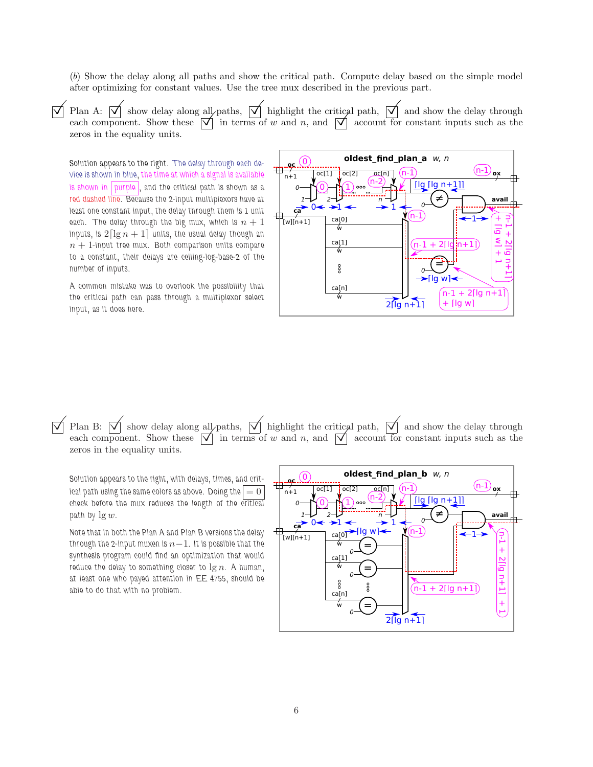(*b*) Show the delay along all paths and show the critical path. Compute delay based on the simple model after optimizing for constant values. Use the tree mux described in the previous part.

 $\overrightarrow{\bigvee}$  Plan A:  $\overrightarrow{\bigvee}$  show delay along all paths,  $\overrightarrow{\bigvee}$  highlight the critical path,  $\overrightarrow{\bigvee}$  and show the delay through Plan A:  $\boxed{\bigvee}$  show delay along all paths,  $\boxed{\bigvee}$  highlight the critical path,  $\boxed{\bigvee}$  and show the delay through each component. Show these  $\boxed{\bigvee}$  in terms of w and n, and  $\boxed{\bigvee}$  account for constant inputs zeros in the equality units.

Solution appears to the right. The delay through each device is shown in blue, the time at which a signal is available is shown in purple, and the critical path is shown as a red dashed line. Because the 2-input multiplexors have at least one constant input, the delay through them is 1 unit each. The delay through the big mux, which is  $n + 1$ inputs, is  $2\lceil \lg n + 1 \rceil$  units, the usual delay though an  $n + 1$ -input tree mux. Both comparison units compare to a constant, their delays are ceiling-log-base-2 of the number of inputs.

A common mistake was to overlook the possibility that the critical path can pass through a multiplexor select input, as it does here.



 $\overline{\sqrt{\ }}$  Plan B:  $\overline{\sqrt{\ }}$  show delay along all paths,  $\overline{\sqrt{\ }}$  highlight the critical path,  $\overline{\sqrt{\ }}$  and show the delay through Plan B:  $\boxed{\bigvee}$  show delay along all paths,  $\boxed{\bigvee}$  highlight the critical path,  $\boxed{\bigvee}$  and show the delay through each component. Show these  $\boxed{\bigvee}$  in terms of w and n, and  $\boxed{\bigvee}$  account for constant inputs zeros in the equality units.

Solution appears to the right, with delays, times, and critical path using the same colors as above. Doing the  $|=0$ check before the mux reduces the length of the critical path by  $\lg w$ .

Note that in both the Plan A and Plan B versions the delay through the 2-input muxen is  $n-1$ . It is possible that the synthesis program could find an optimization that would reduce the delay to something closer to  $\lg n$ . A human, at least one who payed attention in EE 4755, should be able to do that with no problem.

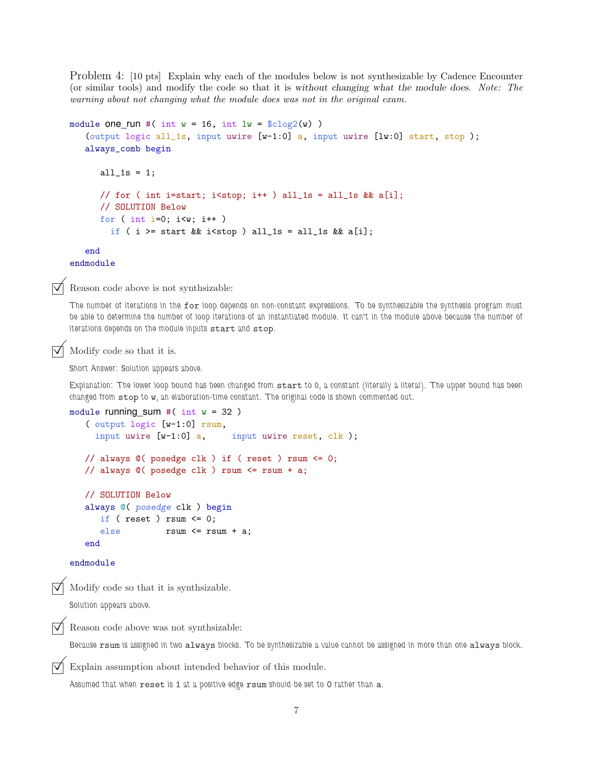Problem 4: [10 pts] Explain why each of the modules below is not synthesizable by Cadence Encounter (or similar tools) and modify the code so that it is without changing what the module does. *Note: The warning about not changing what the module does was not in the original exam.*

```
module one_run #( int w = 16, int lw = $clog2(w) )
   (output logic all_1s, input uwire [w-1:0] a, input uwire [lw:0] start, stop );
   always_comb begin
      all_1s = 1;// for ( int i=start; i<stop; i++ ) all_1s = all_1s && a[i];
      // SOLUTION Below
     for ( int i=0; i<w; i++ )
        if ( i >= start && i<stop ) all_1s = all_1s && a[i];
   end
endmodule
```
Reason code above is not synthsizable:

The number of iterations in the for loop depends on non-constant expressions. To be synthesizable the synthesis program must be able to determine the number of loop iterations of an instantiated module. It can't in the module above because the number of iterations depends on the module inputs start and stop.

Modify code so that it is.

Short Answer: Solution appears above.

Explanation: The lower loop bound has been changed from start to 0, a constant (literally a literal). The upper bound has been changed from stop to w, an elaboration-time constant. The original code is shown commented out.

```
module running sum #( int w = 32 )
   ( output logic [w-1:0] rsum,
     input uwire [w-1:0] a, input uwire reset, clk );
   // always @( posedge clk ) if ( reset ) rsum <= 0;
   // always @( posedge clk ) rsum <= rsum + a;
   // SOLUTION Below
   always @( posedge clk ) begin
      if ( reset ) rsum \leq 0;
      else rsum <= rsum + a;
   end
endmodule
```
Modify code so that it is synthsizable.

Solution appears above.

Reason code above was not synthsizable:

Because rsum is assigned in two always blocks. To be synthesizable a value cannot be assigned in more than one always block.

Explain assumption about intended behavior of this module.

Assumed that when reset is 1 at a positive edge rsum should be set to 0 rather than a.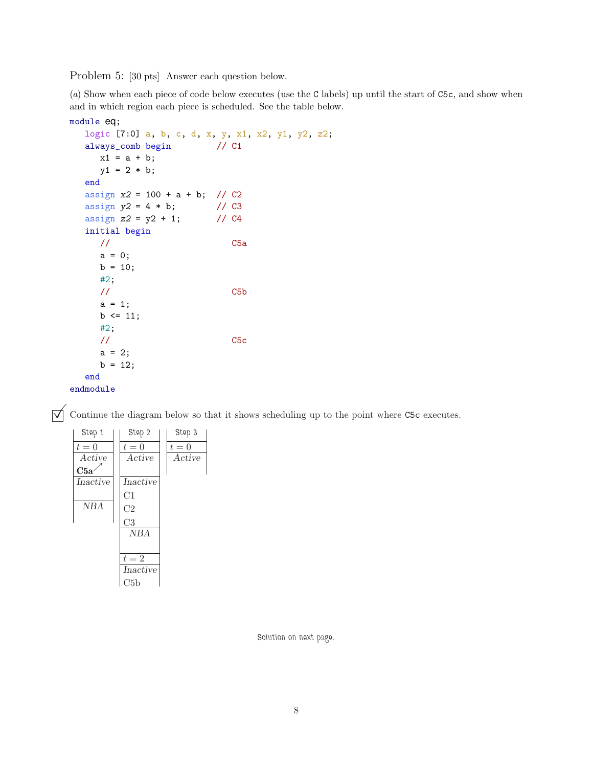Problem 5: [30 pts] Answer each question below.

(*a*) Show when each piece of code below executes (use the C labels) up until the start of C5c, and show when and in which region each piece is scheduled. See the table below.

```
module eq;
  logic [7:0] a, b, c, d, x, y, x1, x2, y1, y2, z2;
  always_comb begin // C1
     x1 = a + b;y1 = 2 * b;end
  assign x2 = 100 + a + b; // C2
  assign y2 = 4 * b; // C3<br>assign z2 = y2 + 1; // C4
  assign z^2 = y^2 + 1;
  initial begin
     // C5a
     a = 0;
     b = 10;#2;
     // C5b
     a = 1;b \le 11;
     #2;
     // C5c
     a = 2;b = 12;end
endmodule
```
 $\triangledown$  Continue the diagram below so that it shows scheduling up to the point where C5c executes.

| Step 1   | Step 2         | Step 3 |
|----------|----------------|--------|
| $t=0$    | $t=0$          | $t=0$  |
| Active   | Active         | Active |
| C5a      |                |        |
| Inactive | Inactive       |        |
|          | C1             |        |
| NBA      | C <sub>2</sub> |        |
|          | C3             |        |
|          | <b>NBA</b>     |        |
|          |                |        |
|          | $t=2$          |        |
|          | Inactive       |        |
|          | C5b            |        |

Solution on next page.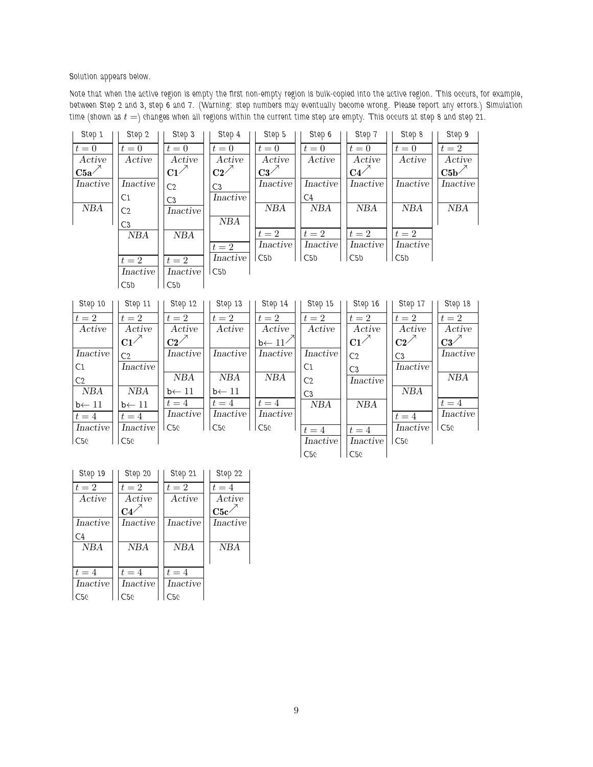Solution appears below.

Note that when the active region is empty the first non-empty region is bulk-copied into the active region. This occurs, for example, between Step 2 and 3, step 6 and 7. (Warning: step numbers may eventually become wrong. Please report any errors.) Simulation time (shown as  $t =$ ) changes when all regions within the current time step are empty. This occurs at step 8 and step 21.

| Step 1                    | Step 2            | Step 3                  | Step 4               | Step 5                                    | Step 6             | Step 7                  | Step 8                                                                                                                                                                                                                                                                                                                                                                                | Step 9                                    |
|---------------------------|-------------------|-------------------------|----------------------|-------------------------------------------|--------------------|-------------------------|---------------------------------------------------------------------------------------------------------------------------------------------------------------------------------------------------------------------------------------------------------------------------------------------------------------------------------------------------------------------------------------|-------------------------------------------|
| $t=0$                     | $t=0$             | $t=0$                   | $t=0$                | $t=0$                                     | $t=0$              | $t=0$                   | $t=0$                                                                                                                                                                                                                                                                                                                                                                                 | $t=2$                                     |
| Active                    | Active            | Active                  | Active               | $\Large\textbf{Active}$                   | Active             | $\Large\textbf{Active}$ | Active                                                                                                                                                                                                                                                                                                                                                                                | Active                                    |
| $\mathrm{C5a}^{\nearrow}$ |                   | $C1^{\nearrow}$         | $\rm{C2}^{\nearrow}$ | $\bf C3$ <sup><math>\nearrow</math></sup> |                    | $C4^{\nearrow}$         |                                                                                                                                                                                                                                                                                                                                                                                       | $\mathrm{C5b}^{\nearrow}$                 |
| Inactive                  | Inactive          | C <sub>2</sub>          | C3                   | Inactive                                  | <b>Inactive</b>    | Inactive                | <b>Inactive</b>                                                                                                                                                                                                                                                                                                                                                                       | Inactive                                  |
|                           | C1                | C <sub>3</sub>          | <i>Inactive</i>      |                                           | C4                 |                         |                                                                                                                                                                                                                                                                                                                                                                                       |                                           |
| $N\!B\!A$                 | C <sub>2</sub>    | <b>Inactive</b>         |                      | NBA                                       | $N\!B\!A$          | NBA                     | $N\!B\!A$                                                                                                                                                                                                                                                                                                                                                                             | NBA                                       |
|                           | C3                |                         | NBA                  |                                           |                    |                         |                                                                                                                                                                                                                                                                                                                                                                                       |                                           |
|                           | NBA               | NBA                     |                      | $t=2$                                     | $t=2$              | $t=2$                   | $t=2$                                                                                                                                                                                                                                                                                                                                                                                 |                                           |
|                           |                   |                         | $t=2$                | Inactive                                  | Inactive           | Inactive                | Inactive                                                                                                                                                                                                                                                                                                                                                                              |                                           |
|                           | $t=2$             | $t=2$                   | <i>Inactive</i>      | $\mathsf{CC5b}$                           | C5b                | C5b                     | C5b                                                                                                                                                                                                                                                                                                                                                                                   |                                           |
|                           | Inactive          | Inactive                | C5 <sub>b</sub>      |                                           |                    |                         |                                                                                                                                                                                                                                                                                                                                                                                       |                                           |
|                           | C5b               | C5b                     |                      |                                           |                    |                         |                                                                                                                                                                                                                                                                                                                                                                                       |                                           |
|                           |                   |                         |                      |                                           |                    |                         |                                                                                                                                                                                                                                                                                                                                                                                       |                                           |
|                           |                   |                         |                      |                                           |                    |                         |                                                                                                                                                                                                                                                                                                                                                                                       |                                           |
| Step 10                   | Step 11           | Step 12                 | Step 13              | Step 14                                   | Step 15            | Step 16                 | Step 17                                                                                                                                                                                                                                                                                                                                                                               | Step 18                                   |
| $t=2$                     | $t=2$             | $t=2$                   | $t=2$                | $t=2$                                     | $t=2$              | $t=2$                   | $t=2$                                                                                                                                                                                                                                                                                                                                                                                 | $t=2$                                     |
| $\Large\bf Active$        | Active            | $\Large\textbf{Active}$ | Active               | $\Large\bf Active$                        | $\Large\bf Active$ | Active                  | Active                                                                                                                                                                                                                                                                                                                                                                                | Active                                    |
|                           | $C1^{\nearrow}$   | $C2^{\nearrow}$         |                      | $b \leftarrow 11$                         |                    | $C1^{\nearrow}$         | $C2^{\nearrow}$                                                                                                                                                                                                                                                                                                                                                                       | $\bf C3$ <sup><math>\nearrow</math></sup> |
| Inactive                  | C <sub>2</sub>    | Inactive                | Inactive             | Inactive                                  | Inactive           | C <sub>2</sub>          | C3                                                                                                                                                                                                                                                                                                                                                                                    | Inactive                                  |
| C1                        | Inactive          |                         |                      |                                           | C1                 | C <sub>3</sub>          | Inactive                                                                                                                                                                                                                                                                                                                                                                              |                                           |
| C <sub>2</sub>            |                   | NBA                     | $N\!B\!A$            | $N\!B\!A$                                 | C <sub>2</sub>     | Inactive                |                                                                                                                                                                                                                                                                                                                                                                                       | NBA                                       |
| NBA                       | $N\!B\!A$         | $b \leftarrow 11$       | $b \leftarrow 11$    |                                           | C <sub>3</sub>     |                         | $N\!B\!A$                                                                                                                                                                                                                                                                                                                                                                             |                                           |
| $b \leftarrow 11$         | $b \leftarrow 11$ | $t=4$                   | $t=4$                | $t=4$                                     | $N\!B\!A$          | $N\!B\!A$               |                                                                                                                                                                                                                                                                                                                                                                                       | $t=4$                                     |
| $t=4$                     | $t=4$             |                         | Inactive             | Inactive                                  |                    |                         | $t = 4$                                                                                                                                                                                                                                                                                                                                                                               |                                           |
| Inactive                  | Inactive          | C5c                     | C5c                  | C50                                       | $t=4$              | $t=4$                   | $In active% \begin{tabular}{ l l l l } \hline \hline $r$ & $r$ & $r$ & $r$ & $r$ \\ \hline $r$ & $r$ & $r$ & $r$ & $r$ \\ \hline $r$ & $r$ & $r$ & $r$ & $r$ \\ \hline $r$ & $r$ & $r$ & $r$ & $r$ \\ \hline $r$ & $r$ & $r$ & $r$ & $r$ \\ \hline $r$ & $r$ & $r$ & $r$ & $r$ \\ \hline $r$ & $r$ & $r$ & $r$ & $r$ \\ \hline $r$ & $r$ & $r$ & $r$ & $r$ \\ \hline $r$ & $r$ & $r$$ | C5c                                       |
| $\overline{C26}$          | C5c               |                         |                      |                                           | Inactive           | $In active$             | C <sub>26</sub>                                                                                                                                                                                                                                                                                                                                                                       | Inactive                                  |

| Step 19         | Step 20    | Step 21    | Step 22          |
|-----------------|------------|------------|------------------|
| $t=2$           | $t=2$      | $t=2$      | $t=4$            |
| Active          | Active     | Active     | Active           |
|                 | C4         |            | C5c <sub>2</sub> |
| Inactive        | Inactive   | Inactive   | Inactive         |
| C <sub>4</sub>  |            |            |                  |
| <b>NBA</b>      | <b>NBA</b> | <b>NBA</b> | NBA              |
|                 |            |            |                  |
| $t=4$           | $t=4$      | $t=4$      |                  |
| Inactive        | Inactive   | Inactive   |                  |
| C <sub>50</sub> | C56        | C50        |                  |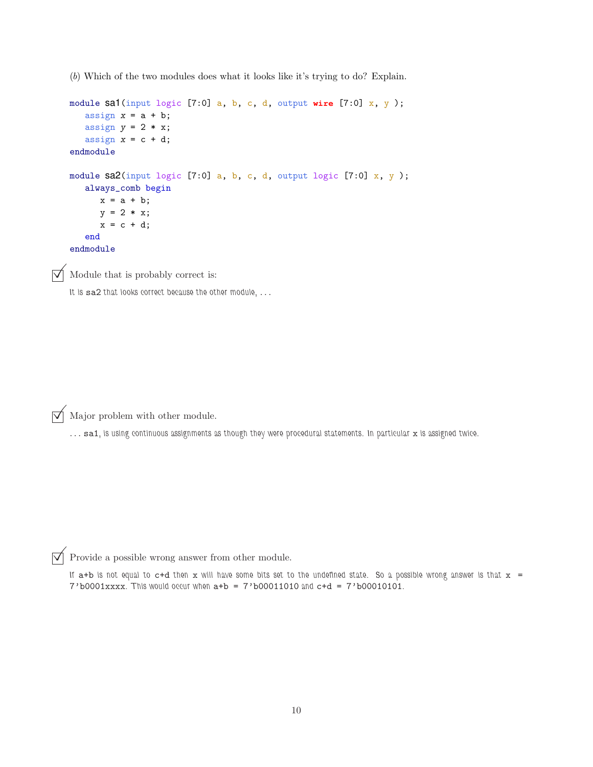(*b*) Which of the two modules does what it looks like it's trying to do? Explain.

```
module sa1(input logic [7:0] a, b, c, d, output wire [7:0] x, y );
   assign x = a + b;
  assign y = 2 * x;assign x = c + d;
endmodule
module sa2(input logic [7:0] a, b, c, d, output logic [7:0] x, y);
   always_comb begin
     x = a + b;y = 2 * x;x = c + d;end
endmodule
```
Module that is probably correct is:

It is sa2 that looks correct because the other module, ...

 $\triangledown$  Major problem with other module.

... sa1, is using continuous assignments as though they were procedural statements. In particular x is assigned twice.

 $\overrightarrow{\mathsf{V}}$  Provide a possible wrong answer from other module.

If  $a+b$  is not equal to  $c+d$  then x will have some bits set to the undefined state. So a possible wrong answer is that  $x =$  $7'$ b0001xxxx. This would occur when  $a+b = 7'$ b00011010 and  $c+d = 7'$ b00010101.